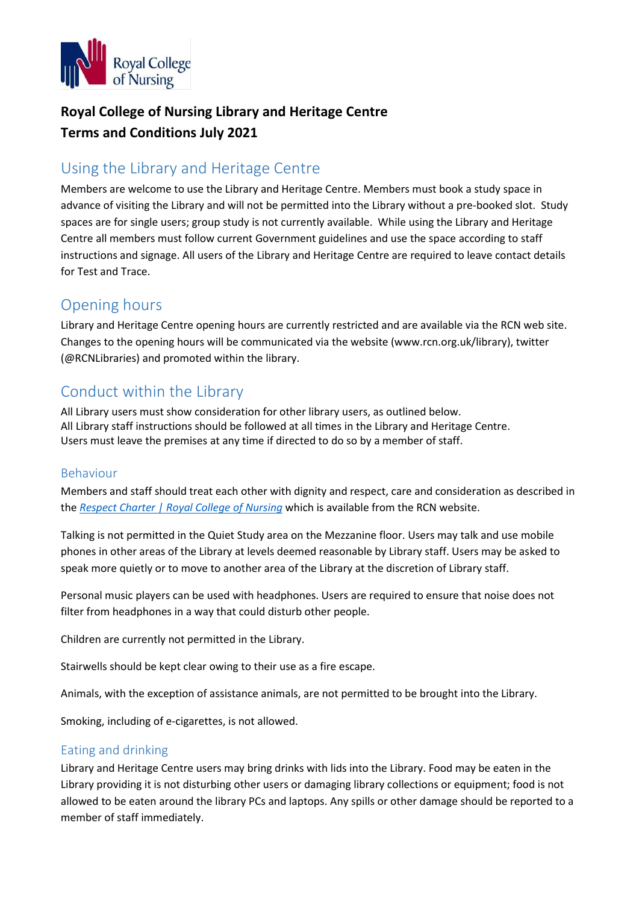

# **Royal College of Nursing Library and Heritage Centre Terms and Conditions July 2021**

# Using the Library and Heritage Centre

Members are welcome to use the Library and Heritage Centre. Members must book a study space in advance of visiting the Library and will not be permitted into the Library without a pre-booked slot. Study spaces are for single users; group study is not currently available. While using the Library and Heritage Centre all members must follow current Government guidelines and use the space according to staff instructions and signage. All users of the Library and Heritage Centre are required to leave contact details for Test and Trace.

### Opening hours

Library and Heritage Centre opening hours are currently restricted and are available via the RCN web site. Changes to the opening hours will be communicated via the website (www.rcn.org.uk/library), twitter (@RCNLibraries) and promoted within the library.

# Conduct within the Library

All Library users must show consideration for other library users, as outlined below. All Library staff instructions should be followed at all times in the Library and Heritage Centre. Users must leave the premises at any time if directed to do so by a member of staff.

#### Behaviour

Members and staff should treat each other with dignity and respect, care and consideration as described in the *[Respect Charter | Royal College of Nursing](https://www.rcn.org.uk/professional-development/publications/pub-006214)* which is available from the RCN website.

Talking is not permitted in the Quiet Study area on the Mezzanine floor. Users may talk and use mobile phones in other areas of the Library at levels deemed reasonable by Library staff. Users may be asked to speak more quietly or to move to another area of the Library at the discretion of Library staff.

Personal music players can be used with headphones. Users are required to ensure that noise does not filter from headphones in a way that could disturb other people.

Children are currently not permitted in the Library.

Stairwells should be kept clear owing to their use as a fire escape.

Animals, with the exception of assistance animals, are not permitted to be brought into the Library.

Smoking, including of e-cigarettes, is not allowed.

#### Eating and drinking

Library and Heritage Centre users may bring drinks with lids into the Library. Food may be eaten in the Library providing it is not disturbing other users or damaging library collections or equipment; food is not allowed to be eaten around the library PCs and laptops. Any spills or other damage should be reported to a member of staff immediately.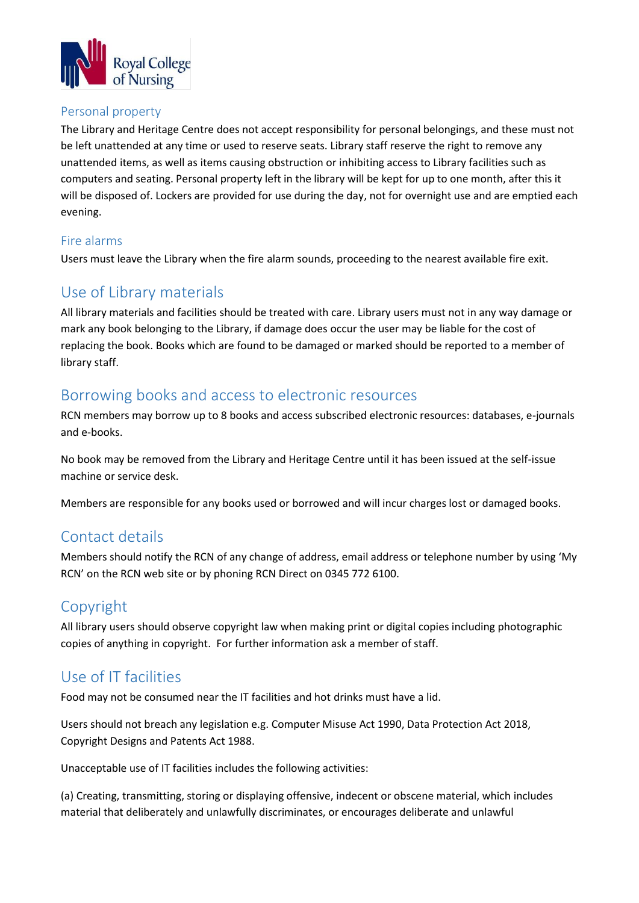

#### Personal property

The Library and Heritage Centre does not accept responsibility for personal belongings, and these must not be left unattended at any time or used to reserve seats. Library staff reserve the right to remove any unattended items, as well as items causing obstruction or inhibiting access to Library facilities such as computers and seating. Personal property left in the library will be kept for up to one month, after this it will be disposed of. Lockers are provided for use during the day, not for overnight use and are emptied each evening.

### Fire alarms

Users must leave the Library when the fire alarm sounds, proceeding to the nearest available fire exit.

### Use of Library materials

All library materials and facilities should be treated with care. Library users must not in any way damage or mark any book belonging to the Library, if damage does occur the user may be liable for the cost of replacing the book. Books which are found to be damaged or marked should be reported to a member of library staff.

### Borrowing books and access to electronic resources

RCN members may borrow up to 8 books and access subscribed electronic resources: databases, e-journals and e-books.

No book may be removed from the Library and Heritage Centre until it has been issued at the self-issue machine or service desk.

Members are responsible for any books used or borrowed and will incur charges lost or damaged books.

### Contact details

Members should notify the RCN of any change of address, email address or telephone number by using 'My RCN' on the RCN web site or by phoning RCN Direct on 0345 772 6100.

### Copyright

All library users should observe copyright law when making print or digital copies including photographic copies of anything in copyright. For further information ask a member of staff.

### Use of IT facilities

Food may not be consumed near the IT facilities and hot drinks must have a lid.

Users should not breach any legislation e.g. Computer Misuse Act 1990, Data Protection Act 2018, Copyright Designs and Patents Act 1988.

Unacceptable use of IT facilities includes the following activities:

(a) Creating, transmitting, storing or displaying offensive, indecent or obscene material, which includes material that deliberately and unlawfully discriminates, or encourages deliberate and unlawful